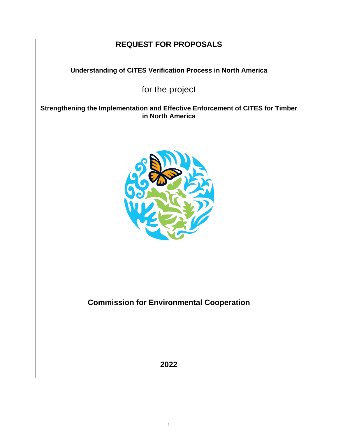# **REQUEST FOR PROPOSALS**

**Understanding of CITES Verification Process in North America**

for the project

**Strengthening the Implementation and Effective Enforcement of CITES for Timber in North America**



**Commission for Environmental Cooperation**

**2022**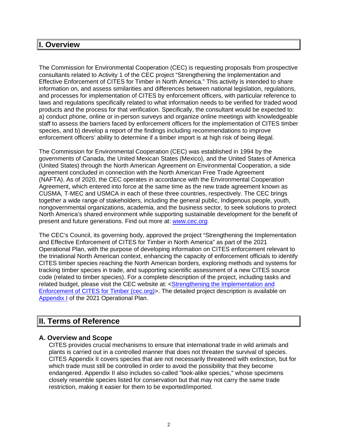# **I. Overview**

The Commission for Environmental Cooperation (CEC) is requesting proposals from prospective consultants related to Activity 1 of the CEC project "Strengthening the Implementation and Effective Enforcement of CITES for Timber in North America." This activity is intended to share information on, and assess similarities and differences between national legislation, regulations, and processes for implementation of CITES by enforcement officers, with particular reference to laws and regulations specifically related to what information needs to be verified for traded wood products and the process for that verification. Specifically, the consultant would be expected to: a) conduct phone, online or in-person surveys and organize online meetings with knowledgeable staff to assess the barriers faced by enforcement officers for the implementation of CITES timber species, and b) develop a report of the findings including recommendations to improve enforcement officers' ability to determine if a timber import is at high risk of being illegal.

The Commission for Environmental Cooperation (CEC) was established in 1994 by the governments of Canada, the United Mexican States (Mexico), and the United States of America (United States) through the North American Agreement on Environmental Cooperation, a side agreement concluded in connection with the North American Free Trade Agreement (NAFTA). As of 2020, the CEC operates in accordance with the Environmental Cooperation Agreement, which entered into force at the same time as the new trade agreement known as CUSMA, T-MEC and USMCA in each of these three countries, respectively. The CEC brings together a wide range of stakeholders, including the general public, Indigenous people, youth, nongovernmental organizations, academia, and the business sector, to seek solutions to protect North America's shared environment while supporting sustainable development for the benefit of present and future generations. Find out more at: *[www.cec.org.](http://www.cec.org/)*

The CEC's Council, its governing body, approved the project "Strengthening the Implementation and Effective Enforcement of CITES for Timber in North America" as part of the 2021 Operational Plan, with the purpose of developing information on CITES enforcement relevant to the trinational North American context, enhancing the capacity of enforcement officials to identify CITES timber species reaching the North American borders, exploring methods and systems for tracking timber species in trade, and supporting scientific assessment of a new CITES source code (related to timber species). For a complete description of the project, including tasks and related budget, please visit the CEC website at: <Strengthening the Implementation and [Enforcement of CITES for Timber \(cec.org\)>](http://www.cec.org/strengthening-the-implementation-and-effective-enforcement-of-cites-for-timber-in-north-america/). The detailed project description is available o[n](http://www.cec.org/files/documents/operational_plans/operational-plan_2021.pdf) [Appendix I](http://www.cec.org/files/documents/operational_plans/operational-plan_2021.pdf) of the 2021 Operational Plan.

# **II. Terms of Reference**

# **A. Overview and Scope**

CITES provides crucial mechanisms to ensure that international trade in wild animals and plants is carried out in a controlled manner that does not threaten the survival of species. CITES Appendix II covers species that are not necessarily threatened with extinction, but for which trade must still be controlled in order to avoid the possibility that they become endangered. Appendix II also includes so-called "look-alike species," whose specimens closely resemble species listed for conservation but that may not carry the same trade restriction, making it easier for them to be exported/imported.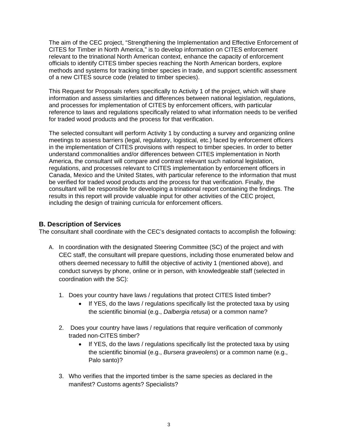The aim of the CEC project, "Strengthening the Implementation and Effective Enforcement of CITES for Timber in North America," is to develop information on CITES enforcement relevant to the trinational North American context, enhance the capacity of enforcement officials to identify CITES timber species reaching the North American borders, explore methods and systems for tracking timber species in trade, and support scientific assessment of a new CITES source code (related to timber species).

This Request for Proposals refers specifically to Activity 1 of the project, which will share information and assess similarities and differences between national legislation, regulations, and processes for implementation of CITES by enforcement officers, with particular reference to laws and regulations specifically related to what information needs to be verified for traded wood products and the process for that verification.

The selected consultant will perform Activity 1 by conducting a survey and organizing online meetings to assess barriers (legal, regulatory, logistical, etc.) faced by enforcement officers in the implementation of CITES provisions with respect to timber species. In order to better understand commonalities and/or differences between CITES implementation in North America, the consultant will compare and contrast relevant such national legislation, regulations, and processes relevant to CITES implementation by enforcement officers in Canada, Mexico and the United States, with particular reference to the information that must be verified for traded wood products and the process for that verification. Finally, the consultant will be responsible for developing a trinational report containing the findings. The results in this report will provide valuable input for other activities of the CEC project, including the design of training curricula for enforcement officers.

# **B. Description of Services**

The consultant shall coordinate with the CEC's designated contacts to accomplish the following:

- A. In coordination with the designated Steering Committee (SC) of the project and with CEC staff, the consultant will prepare questions, including those enumerated below and others deemed necessary to fulfill the objective of activity 1 (mentioned above), and conduct surveys by phone, online or in person, with knowledgeable staff (selected in coordination with the SC):
	- 1. Does your country have laws / regulations that protect CITES listed timber?
		- If YES, do the laws / regulations specifically list the protected taxa by using the scientific binomial (e.g., *Dalbergia retusa*) or a common name?
	- 2. Does your country have laws / regulations that require verification of commonly traded non-CITES timber?
		- If YES, do the laws / regulations specifically list the protected taxa by using the scientific binomial (e.g., *Bursera graveolens*) or a common name (e.g., Palo santo)?
	- 3. Who verifies that the imported timber is the same species as declared in the manifest? Customs agents? Specialists?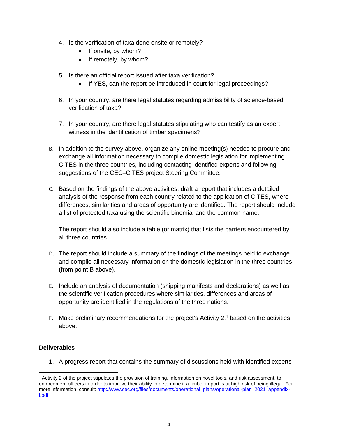- 4. Is the verification of taxa done onsite or remotely?
	- If onsite, by whom?
	- If remotely, by whom?
- 5. Is there an official report issued after taxa verification?
	- If YES, can the report be introduced in court for legal proceedings?
- 6. In your country, are there legal statutes regarding admissibility of science-based verification of taxa?
- 7. In your country, are there legal statutes stipulating who can testify as an expert witness in the identification of timber specimens?
- B. In addition to the survey above, organize any online meeting(s) needed to procure and exchange all information necessary to compile domestic legislation for implementing CITES in the three countries, including contacting identified experts and following suggestions of the CEC–CITES project Steering Committee.
- C. Based on the findings of the above activities, draft a report that includes a detailed analysis of the response from each country related to the application of CITES, where differences, similarities and areas of opportunity are identified. The report should include a list of protected taxa using the scientific binomial and the common name.

The report should also include a table (or matrix) that lists the barriers encountered by all three countries.

- D. The report should include a summary of the findings of the meetings held to exchange and compile all necessary information on the domestic legislation in the three countries (from point B above).
- E. Include an analysis of documentation (shipping manifests and declarations) as well as the scientific verification procedures where similarities, differences and areas of opportunity are identified in the regulations of the three nations.
- F. Make preliminary recommendations for the project's Activity 2, [1](#page-3-0) based on the activities above.

# **Deliverables**

1. A progress report that contains the summary of discussions held with identified experts

<span id="page-3-0"></span><sup>&</sup>lt;sup>1</sup> Activity 2 of the project stipulates the provision of training, information on novel tools, and risk assessment, to enforcement officers in order to improve their ability to determine if a timber import is at high risk of being illegal. For more information, consult[: http://www.cec.org/files/documents/operational\\_plans/operational-plan\\_2021\\_appendix](http://www.cec.org/files/documents/operational_plans/operational-plan_2021_appendix-i.pdf)[i.pdf](http://www.cec.org/files/documents/operational_plans/operational-plan_2021_appendix-i.pdf)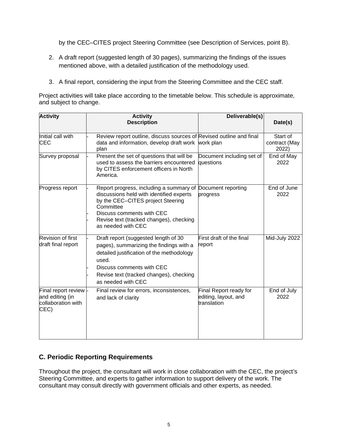by the CEC–CITES project Steering Committee (see Description of Services, point B).

- 2. A draft report (suggested length of 30 pages), summarizing the findings of the issues mentioned above, with a detailed justification of the methodology used.
- 3. A final report, considering the input from the Steering Committee and the CEC staff.

Project activities will take place according to the timetable below. This schedule is approximate, and subject to change.

| <b>Activity</b>                                                      | <b>Activity</b>                                                                                                                                                                                                                                        | Deliverable(s)                                                |                                    |
|----------------------------------------------------------------------|--------------------------------------------------------------------------------------------------------------------------------------------------------------------------------------------------------------------------------------------------------|---------------------------------------------------------------|------------------------------------|
|                                                                      | <b>Description</b>                                                                                                                                                                                                                                     |                                                               | Date(s)                            |
| Initial call with<br><b>CEC</b>                                      | Review report outline, discuss sources of Revised outline and final<br>data and information, develop draft work work plan<br>plan                                                                                                                      |                                                               | Start of<br>contract (May<br>2022) |
| Survey proposal                                                      | Present the set of questions that will be<br>used to assess the barriers encountered<br>by CITES enforcement officers in North<br>America.                                                                                                             | Document including set of<br>questions                        | End of May<br>2022                 |
| Progress report                                                      | Report progress, including a summary of Document reporting<br>discussions held with identified experts<br>by the CEC-CITES project Steering<br>Committee<br>Discuss comments with CEC<br>Revise text (tracked changes), checking<br>as needed with CEC | progress                                                      | End of June<br>2022                |
| <b>Revision of first</b><br>draft final report                       | Draft report (suggested length of 30<br>pages), summarizing the findings with a<br>detailed justification of the methodology<br>used.<br>Discuss comments with CEC<br>Revise text (tracked changes), checking<br>as needed with CEC                    | First draft of the final<br>report                            | Mid-July 2022                      |
| Final report review<br>and editing (in<br>collaboration with<br>CEC) | Final review for errors, inconsistences,<br>and lack of clarity                                                                                                                                                                                        | Final Report ready for<br>editing, layout, and<br>translation | End of July<br>2022                |

# **C. Periodic Reporting Requirements**

Throughout the project, the consultant will work in close collaboration with the CEC, the project's Steering Committee, and experts to gather information to support delivery of the work. The consultant may consult directly with government officials and other experts, as needed.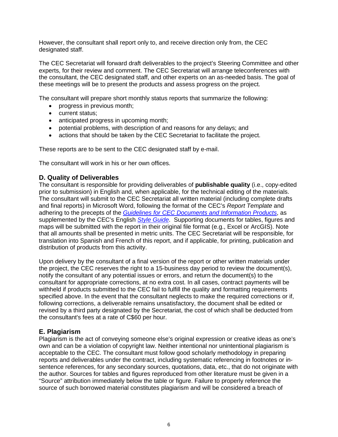However, the consultant shall report only to, and receive direction only from, the CEC designated staff.

The CEC Secretariat will forward draft deliverables to the project's Steering Committee and other experts, for their review and comment. The CEC Secretariat will arrange teleconferences with the consultant, the CEC designated staff, and other experts on an as-needed basis. The goal of these meetings will be to present the products and assess progress on the project.

The consultant will prepare short monthly status reports that summarize the following:

- progress in previous month;
- current status;
- anticipated progress in upcoming month;
- potential problems, with description of and reasons for any delays; and
- actions that should be taken by the CEC Secretariat to facilitate the project.

These reports are to be sent to the CEC designated staff by e-mail.

The consultant will work in his or her own offices.

#### **D. Quality of Deliverables**

The consultant is responsible for providing deliverables of **publishable quality** (i.e., copy-edited prior to submission) in English and, when applicable, for the technical editing of the materials. The consultant will submit to the CEC Secretariat all written material (including complete drafts and final reports) in Microsoft Word, following the format of the CEC's *Report Template* and adhering to the precepts of the *[Guidelines for CEC Documents and Information Products](http://www.cec.org/wp-content/uploads/guidelines-for-cec-documents.pdf)*, as supplemented by the CEC's English *[Style Guide](http://www.cec.org/wp-content/uploads/18873_style-guide.pdf)*. Supporting documents for tables, figures and maps will be submitted with the report in their original file format (e.g., Excel or ArcGIS). Note that all amounts shall be presented in metric units. The CEC Secretariat will be responsible, for translation into Spanish and French of this report, and if applicable, for printing, publication and distribution of products from this activity.

Upon delivery by the consultant of a final version of the report or other written materials under the project, the CEC reserves the right to a 15-business day period to review the document(s), notify the consultant of any potential issues or errors, and return the document(s) to the consultant for appropriate corrections, at no extra cost. In all cases, contract payments will be withheld if products submitted to the CEC fail to fulfill the quality and formatting requirements specified above. In the event that the consultant neglects to make the required corrections or if, following corrections, a deliverable remains unsatisfactory, the document shall be edited or revised by a third party designated by the Secretariat, the cost of which shall be deducted from the consultant's fees at a rate of C\$60 per hour.

#### **E. Plagiarism**

Plagiarism is the act of conveying someone else's original expression or creative ideas as one's own and can be a violation of copyright law. Neither intentional nor unintentional plagiarism is acceptable to the CEC. The consultant must follow good scholarly methodology in preparing reports and deliverables under the contract, including systematic referencing in footnotes or insentence references, for any secondary sources, quotations, data, etc., that do not originate with the author. Sources for tables and figures reproduced from other literature must be given in a "Source" attribution immediately below the table or figure. Failure to properly reference the source of such borrowed material constitutes plagiarism and will be considered a breach of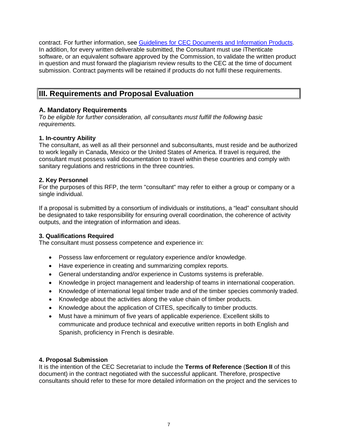contract. For further information, see [Guidelines for CEC Documents and Information Products.](http://www.cec.org/wp-content/uploads/guidelines-for-cec-documents.pdf) In addition, for every written deliverable submitted, the Consultant must use iThenticate software, or an equivalent software approved by the Commission, to validate the written product in question and must forward the plagiarism review results to the CEC at the time of document submission. Contract payments will be retained if products do not fulfil these requirements.

# **III. Requirements and Proposal Evaluation**

# **A. Mandatory Requirements**

*To be eligible for further consideration, all consultants must fulfill the following basic requirements.*

#### **1. In-country Ability**

The consultant, as well as all their personnel and subconsultants, must reside and be authorized to work legally in Canada, Mexico or the United States of America. If travel is required, the consultant must possess valid documentation to travel within these countries and comply with sanitary regulations and restrictions in the three countries.

#### **2. Key Personnel**

For the purposes of this RFP, the term "consultant" may refer to either a group or company or a single individual.

If a proposal is submitted by a consortium of individuals or institutions, a "lead" consultant should be designated to take responsibility for ensuring overall coordination, the coherence of activity outputs, and the integration of information and ideas.

# **3. Qualifications Required**

The consultant must possess competence and experience in:

- Possess law enforcement or regulatory experience and/or knowledge.
- Have experience in creating and summarizing complex reports.
- General understanding and/or experience in Customs systems is preferable.
- Knowledge in project management and leadership of teams in international cooperation.
- Knowledge of international legal timber trade and of the timber species commonly traded.
- Knowledge about the activities along the value chain of timber products.
- Knowledge about the application of CITES, specifically to timber products.
- Must have a minimum of five years of applicable experience. Excellent skills to communicate and produce technical and executive written reports in both English and Spanish, proficiency in French is desirable.

# **4. Proposal Submission**

It is the intention of the CEC Secretariat to include the **Terms of Reference** (**Section II** of this document) in the contract negotiated with the successful applicant. Therefore, prospective consultants should refer to these for more detailed information on the project and the services to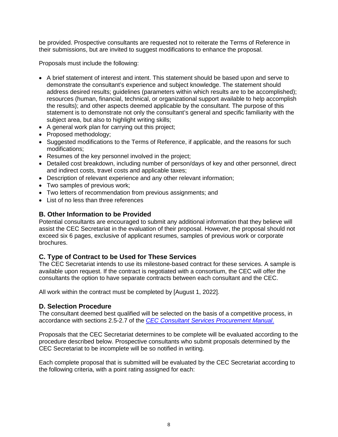be provided. Prospective consultants are requested not to reiterate the Terms of Reference in their submissions, but are invited to suggest modifications to enhance the proposal.

Proposals must include the following:

- A brief statement of interest and intent. This statement should be based upon and serve to demonstrate the consultant's experience and subject knowledge. The statement should address desired results; guidelines (parameters within which results are to be accomplished); resources (human, financial, technical, or organizational support available to help accomplish the results); and other aspects deemed applicable by the consultant. The purpose of this statement is to demonstrate not only the consultant's general and specific familiarity with the subject area, but also to highlight writing skills;
- A general work plan for carrying out this project;
- Proposed methodology;
- Suggested modifications to the Terms of Reference, if applicable, and the reasons for such modifications;
- Resumes of the key personnel involved in the project;
- Detailed cost breakdown, including number of person/days of key and other personnel, direct and indirect costs, travel costs and applicable taxes;
- Description of relevant experience and any other relevant information;
- Two samples of previous work;
- Two letters of recommendation from previous assignments; and
- List of no less than three references

# **B. Other Information to be Provided**

Potential consultants are encouraged to submit any additional information that they believe will assist the CEC Secretariat in the evaluation of their proposal. However, the proposal should not exceed six 6 pages, exclusive of applicant resumes, samples of previous work or corporate brochures.

# **C. Type of Contract to be Used for These Services**

The CEC Secretariat intends to use its milestone-based contract for these services. A sample is available upon request. If the contract is negotiated with a consortium, the CEC will offer the consultants the option to have separate contracts between each consultant and the CEC.

All work within the contract must be completed by [August 1, 2022].

# **D. Selection Procedure**

The consultant deemed best qualified will be selected on the basis of a competitive process, in accordance with sections 2.5-2.7 of the *[CEC Consultant Services Procurement Manual](http://www.cec.org/files/documents/opportunities/18890_consultant_services_procurement_manual.pdf)*[.](http://www.cec.org/files/documents/opportunities/18890_consultant_services_procurement_manual.pdf)

Proposals that the CEC Secretariat determines to be complete will be evaluated according to the procedure described below. Prospective consultants who submit proposals determined by the CEC Secretariat to be incomplete will be so notified in writing.

Each complete proposal that is submitted will be evaluated by the CEC Secretariat according to the following criteria, with a point rating assigned for each: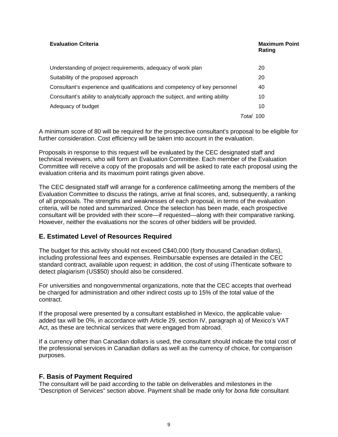| <b>Evaluation Criteria</b>                                                     | <b>Maximum Point</b><br>Rating |
|--------------------------------------------------------------------------------|--------------------------------|
| Understanding of project requirements, adequacy of work plan                   | 20                             |
| Suitability of the proposed approach                                           | 20                             |
| Consultant's experience and qualifications and competency of key personnel     | 40                             |
| Consultant's ability to analytically approach the subject, and writing ability | 10                             |
| Adequacy of budget                                                             | 10                             |
|                                                                                | <i>Total</i> 100               |

A minimum score of 80 will be required for the prospective consultant's proposal to be eligible for further consideration. Cost efficiency will be taken into account in the evaluation.

Proposals in response to this request will be evaluated by the CEC designated staff and technical reviewers, who will form an Evaluation Committee. Each member of the Evaluation Committee will receive a copy of the proposals and will be asked to rate each proposal using the evaluation criteria and its maximum point ratings given above.

The CEC designated staff will arrange for a conference call/meeting among the members of the Evaluation Committee to discuss the ratings, arrive at final scores, and, subsequently, a ranking of all proposals. The strengths and weaknesses of each proposal, in terms of the evaluation criteria, will be noted and summarized. Once the selection has been made, each prospective consultant will be provided with their score—if requested—along with their comparative ranking. However, neither the evaluations nor the scores of other bidders will be provided.

#### **E. Estimated Level of Resources Required**

The budget for this activity should not exceed C\$40,000 (forty thousand Canadian dollars), including professional fees and expenses. Reimbursable expenses are detailed in the CEC standard contract, available upon request; in addition, the cost of using iThenticate software to detect plagiarism (US\$50) should also be considered.

For universities and nongovernmental organizations, note that the CEC accepts that overhead be charged for administration and other indirect costs up to 15% of the total value of the contract.

If the proposal were presented by a consultant established in Mexico, the applicable valueadded tax will be 0%, in accordance with Article 29, section IV, paragraph a) of Mexico's VAT Act, as these are technical services that were engaged from abroad.

If a currency other than Canadian dollars is used, the consultant should indicate the total cost of the professional services in Canadian dollars as well as the currency of choice, for comparison purposes.

#### **F. Basis of Payment Required**

The consultant will be paid according to the table on deliverables and milestones in the "Description of Services" section above. Payment shall be made only for *bona fide* consultant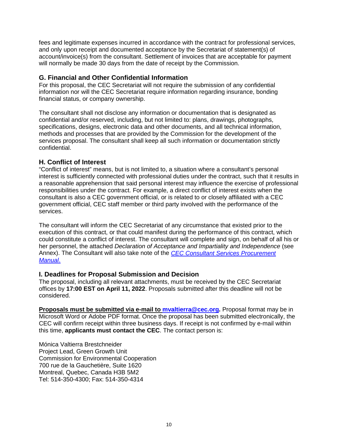fees and legitimate expenses incurred in accordance with the contract for professional services, and only upon receipt and documented acceptance by the Secretariat of statement(s) of account/invoice(s) from the consultant. Settlement of invoices that are acceptable for payment will normally be made 30 days from the date of receipt by the Commission.

#### **G. Financial and Other Confidential Information**

For this proposal, the CEC Secretariat will not require the submission of any confidential information nor will the CEC Secretariat require information regarding insurance, bonding financial status, or company ownership.

The consultant shall not disclose any information or documentation that is designated as confidential and/or reserved, including, but not limited to: plans, drawings, photographs, specifications, designs, electronic data and other documents, and all technical information, methods and processes that are provided by the Commission for the development of the services proposal. The consultant shall keep all such information or documentation strictly confidential.

# **H. Conflict of Interest**

"Conflict of interest" means, but is not limited to, a situation where a consultant's personal interest is sufficiently connected with professional duties under the contract, such that it results in a reasonable apprehension that said personal interest may influence the exercise of professional responsibilities under the contract. For example, a direct conflict of interest exists when the consultant is also a CEC government official, or is related to or closely affiliated with a CEC government official, CEC staff member or third party involved with the performance of the services.

The consultant will inform the CEC Secretariat of any circumstance that existed prior to the execution of this contract, or that could manifest during the performance of this contract, which could constitute a conflict of interest. The consultant will complete and sign, on behalf of all his or her personnel, the attached *Declaration of Acceptance and Impartiality and Independence* (see Annex). The Consultant will also take note of the *[CEC Consultant Services Procurement](http://www.cec.org/files/documents/opportunities/18890_consultant_services_procurement_manual.pdf)  [Manual](http://www.cec.org/files/documents/opportunities/18890_consultant_services_procurement_manual.pdf)*.

#### **I. Deadlines for Proposal Submission and Decision**

The proposal, including all relevant attachments, must be received by the CEC Secretariat offices by **17:00 EST on April 11, 2022**. Proposals submitted after this deadline will not be considered.

**Proposals must be submitted via e-mail to [mvaltierra@cec.org.](mailto:mvaltierra@cec.org)** Proposal format may be in Microsoft Word or Adobe PDF format. Once the proposal has been submitted electronically, the CEC will confirm receipt within three business days. If receipt is not confirmed by e-mail within this time, **applicants must contact the CEC**. The contact person is:

Mónica Valtierra Brestchneider Project Lead, Green Growth Unit Commission for Environmental Cooperation 700 rue de la Gauchetière, Suite 1620 Montreal, Quebec, Canada H3B 5M2 Tel: 514-350-4300; Fax: 514-350-4314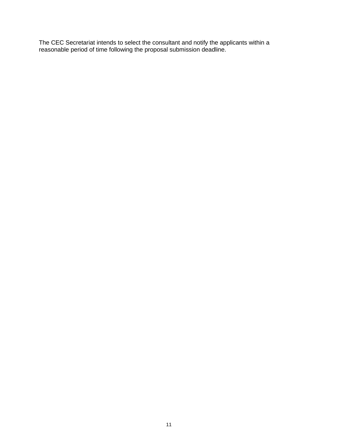The CEC Secretariat intends to select the consultant and notify the applicants within a reasonable period of time following the proposal submission deadline.